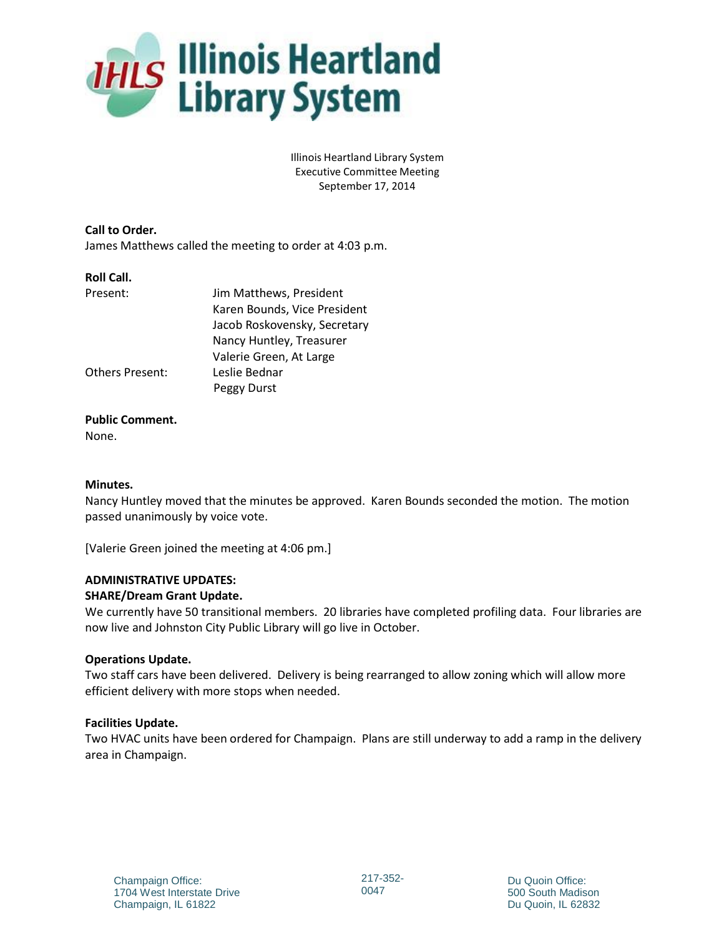

Illinois Heartland Library System Executive Committee Meeting September 17, 2014

**Call to Order.** James Matthews called the meeting to order at 4:03 p.m.

## **Roll Call.**

| Present:               | Jim Matthews, President      |
|------------------------|------------------------------|
|                        | Karen Bounds, Vice President |
|                        | Jacob Roskovensky, Secretary |
|                        | Nancy Huntley, Treasurer     |
|                        | Valerie Green, At Large      |
| <b>Others Present:</b> | Leslie Bednar                |
|                        | Peggy Durst                  |

## **Public Comment.**

None.

# **Minutes.**

Nancy Huntley moved that the minutes be approved. Karen Bounds seconded the motion. The motion passed unanimously by voice vote.

[Valerie Green joined the meeting at 4:06 pm.]

# **ADMINISTRATIVE UPDATES:**

## **SHARE/Dream Grant Update.**

We currently have 50 transitional members. 20 libraries have completed profiling data. Four libraries are now live and Johnston City Public Library will go live in October.

# **Operations Update.**

Two staff cars have been delivered. Delivery is being rearranged to allow zoning which will allow more efficient delivery with more stops when needed.

# **Facilities Update.**

Two HVAC units have been ordered for Champaign. Plans are still underway to add a ramp in the delivery area in Champaign.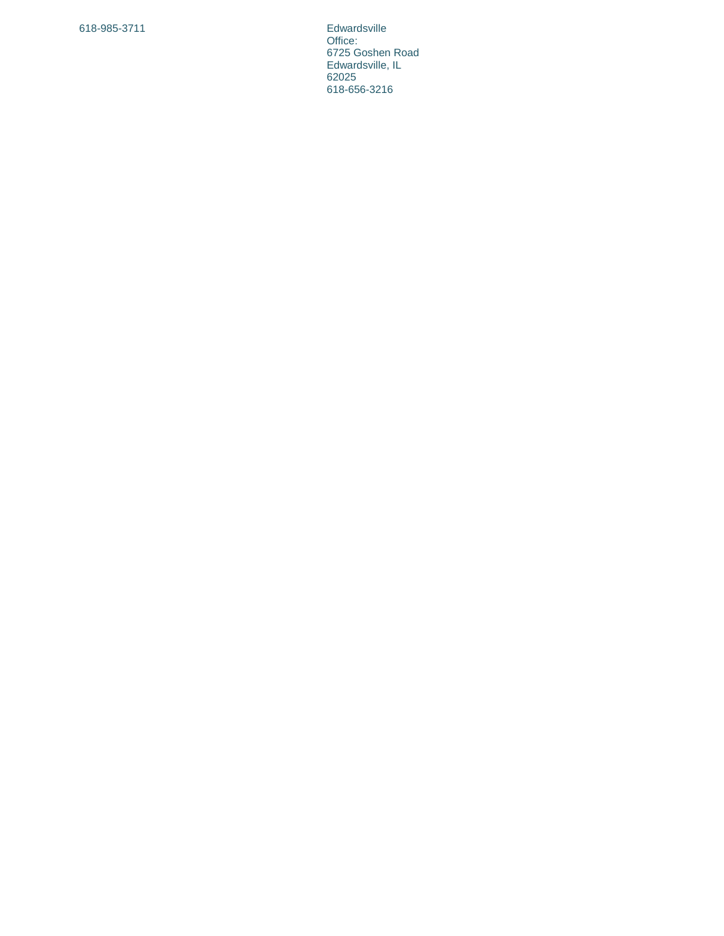**Edwardsville** Office : 672 5 G osh e n Roa d E d w a rds ville , IL 6 202 5 618-656-3216